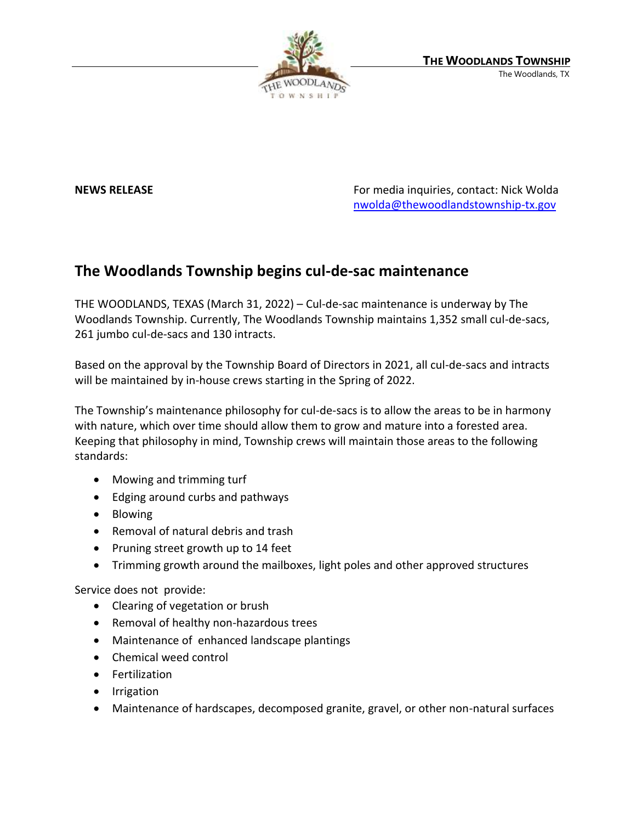

**NEWS RELEASE NEWS RELEASE** *RELEASE REWS* **RELEASE** *REWS* **RELEASE** *REMANDE <b>RELEASE REMANDE <b>REMANDE <b>RELEASE <i>REMANDE <b>REMANDE <b>REMANDE <b>REMANDE ACCESS CONTA <i>REMANDE ACCESS <b>CONTA REMAN* [nwolda@thewoodlandstownship-tx.gov](mailto:nwolda@thewoodlandstownship-tx.gov)

## **The Woodlands Township begins cul-de-sac maintenance**

THE WOODLANDS, TEXAS (March 31, 2022) – Cul-de-sac maintenance is underway by The Woodlands Township. Currently, The Woodlands Township maintains 1,352 small cul-de-sacs, 261 jumbo cul-de-sacs and 130 intracts.

Based on the approval by the Township Board of Directors in 2021, all cul-de-sacs and intracts will be maintained by in-house crews starting in the Spring of 2022.

The Township's maintenance philosophy for cul-de-sacs is to allow the areas to be in harmony with nature, which over time should allow them to grow and mature into a forested area. Keeping that philosophy in mind, Township crews will maintain those areas to the following standards:

- Mowing and trimming turf
- Edging around curbs and pathways
- Blowing
- Removal of natural debris and trash
- Pruning street growth up to 14 feet
- Trimming growth around the mailboxes, light poles and other approved structures

Service does not provide:

- Clearing of vegetation or brush
- Removal of healthy non-hazardous trees
- Maintenance of enhanced landscape plantings
- Chemical weed control
- Fertilization
- Irrigation
- Maintenance of hardscapes, decomposed granite, gravel, or other non-natural surfaces